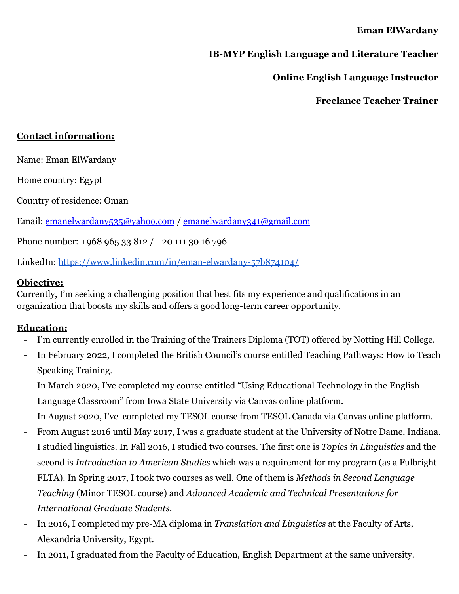#### **Eman ElWardany**

## **IB-MYP English Language and Literature Teacher**

**Online English Language Instructor**

**Freelance Teacher Trainer**

### **Contact information:**

Name: Eman ElWardany

Home country: Egypt

Country of residence: Oman

Email: emanelwardany535@yahoo.com / emanelwardany341@gmail.com

Phone number: +968 965 33 812 / +20 111 30 16 796

LinkedIn: <https://www.linkedin.com/in/eman-elwardany-57b874104/>

#### **Objective:**

Currently, I'm seeking a challenging position that best fits my experience and qualifications in an organization that boosts my skills and offers a good long-term career opportunity.

#### **Education:**

- I'm currently enrolled in the Training of the Trainers Diploma (TOT) offered by Notting Hill College.
- In February 2022, I completed the British Council's course entitled Teaching Pathways: How to Teach Speaking Training.
- In March 2020, I've completed my course entitled "Using Educational Technology in the English Language Classroom" from Iowa State University via Canvas online platform.
- In August 2020, I've completed my TESOL course from TESOL Canada via Canvas online platform.
- From August 2016 until May 2017, I was a graduate student at the University of Notre Dame, Indiana. I studied linguistics. In Fall 2016, I studied two courses. The first one is *Topics in Linguistics* and the second is *Introduction to American Studies* which was a requirement for my program (as a Fulbright FLTA). In Spring 2017, I took two courses as well. One of them is *Methods in Second Language Teaching* (Minor TESOL course) and *Advanced Academic and Technical Presentations for International Graduate Students*.
- In 2016, I completed my pre-MA diploma in *Translation and Linguistics* at the Faculty of Arts, Alexandria University, Egypt.
- In 2011, I graduated from the Faculty of Education, English Department at the same university.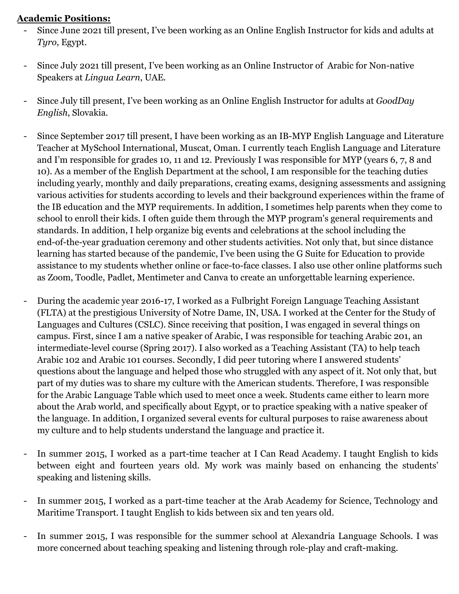### **Academic Positions:**

- Since June 2021 till present, I've been working as an Online English Instructor for kids and adults at *Tyro*, Egypt.
- Since July 2021 till present, I've been working as an Online Instructor of Arabic for Non-native Speakers at *Lingua Learn*, UAE.
- Since July till present, I've been working as an Online English Instructor for adults at *GoodDay English*, Slovakia.
- Since September 2017 till present, I have been working as an IB-MYP English Language and Literature Teacher at MySchool International, Muscat, Oman. I currently teach English Language and Literature and I'm responsible for grades 10, 11 and 12. Previously I was responsible for MYP (years 6, 7, 8 and 10). As a member of the English Department at the school, I am responsible for the teaching duties including yearly, monthly and daily preparations, creating exams, designing assessments and assigning various activities for students according to levels and their background experiences within the frame of the IB education and the MYP requirements. In addition, I sometimes help parents when they come to school to enroll their kids. I often guide them through the MYP program's general requirements and standards. In addition, I help organize big events and celebrations at the school including the end-of-the-year graduation ceremony and other students activities. Not only that, but since distance learning has started because of the pandemic, I've been using the G Suite for Education to provide assistance to my students whether online or face-to-face classes. I also use other online platforms such as Zoom, Toodle, Padlet, Mentimeter and Canva to create an unforgettable learning experience.
- During the academic year 2016-17, I worked as a Fulbright Foreign Language Teaching Assistant (FLTA) at the prestigious University of Notre Dame, IN, USA. I worked at the Center for the Study of Languages and Cultures (CSLC). Since receiving that position, I was engaged in several things on campus. First, since I am a native speaker of Arabic, I was responsible for teaching Arabic 201, an intermediate-level course (Spring 2017). I also worked as a Teaching Assistant (TA) to help teach Arabic 102 and Arabic 101 courses. Secondly, I did peer tutoring where I answered students' questions about the language and helped those who struggled with any aspect of it. Not only that, but part of my duties was to share my culture with the American students. Therefore, I was responsible for the Arabic Language Table which used to meet once a week. Students came either to learn more about the Arab world, and specifically about Egypt, or to practice speaking with a native speaker of the language. In addition, I organized several events for cultural purposes to raise awareness about my culture and to help students understand the language and practice it.
- In summer 2015, I worked as a part-time teacher at I Can Read Academy. I taught English to kids between eight and fourteen years old. My work was mainly based on enhancing the students' speaking and listening skills.
- In summer 2015, I worked as a part-time teacher at the Arab Academy for Science, Technology and Maritime Transport. I taught English to kids between six and ten years old.
- In summer 2015, I was responsible for the summer school at Alexandria Language Schools. I was more concerned about teaching speaking and listening through role-play and craft-making.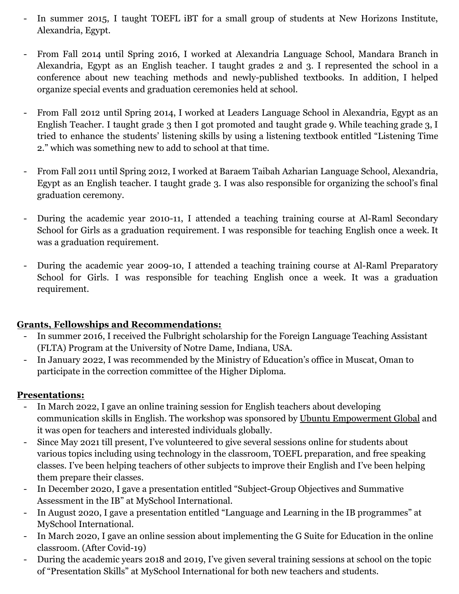- In summer 2015, I taught TOEFL iBT for a small group of students at New Horizons Institute, Alexandria, Egypt.
- From Fall 2014 until Spring 2016, I worked at Alexandria Language School, Mandara Branch in Alexandria, Egypt as an English teacher. I taught grades 2 and 3. I represented the school in a conference about new teaching methods and newly-published textbooks. In addition, I helped organize special events and graduation ceremonies held at school.
- From Fall 2012 until Spring 2014, I worked at Leaders Language School in Alexandria, Egypt as an English Teacher. I taught grade 3 then I got promoted and taught grade 9. While teaching grade 3, I tried to enhance the students' listening skills by using a listening textbook entitled "Listening Time 2." which was something new to add to school at that time.
- From Fall 2011 until Spring 2012, I worked at Baraem Taibah Azharian Language School, Alexandria, Egypt as an English teacher. I taught grade 3. I was also responsible for organizing the school's final graduation ceremony.
- During the academic year 2010-11, I attended a teaching training course at Al-Raml Secondary School for Girls as a graduation requirement. I was responsible for teaching English once a week. It was a graduation requirement.
- During the academic year 2009-10, I attended a teaching training course at Al-Raml Preparatory School for Girls. I was responsible for teaching English once a week. It was a graduation requirement.

### **Grants, Fellowships and Recommendations:**

- In summer 2016, I received the Fulbright scholarship for the Foreign Language Teaching Assistant (FLTA) Program at the University of Notre Dame, Indiana, USA.
- In January 2022, I was recommended by the Ministry of Education's office in Muscat, Oman to participate in the correction committee of the Higher Diploma.

### **Presentations:**

- In March 2022, I gave an online training session for English teachers about developing communication skills in English. The workshop was sponsored by Ubuntu Empowerment Global and it was open for teachers and interested individuals globally.
- Since May 2021 till present, I've volunteered to give several sessions online for students about various topics including using technology in the classroom, TOEFL preparation, and free speaking classes. I've been helping teachers of other subjects to improve their English and I've been helping them prepare their classes.
- In December 2020, I gave a presentation entitled "Subject-Group Objectives and Summative Assessment in the IB" at MySchool International.
- In August 2020, I gave a presentation entitled "Language and Learning in the IB programmes" at MySchool International.
- In March 2020, I gave an online session about implementing the G Suite for Education in the online classroom. (After Covid-19)
- During the academic years 2018 and 2019, I've given several training sessions at school on the topic of "Presentation Skills" at MySchool International for both new teachers and students.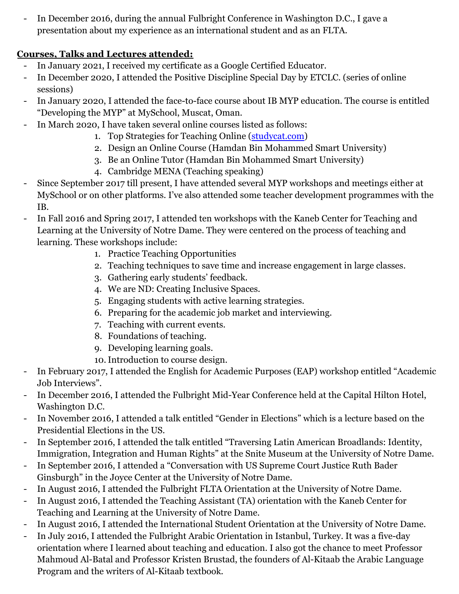In December 2016, during the annual Fulbright Conference in Washington D.C., I gave a presentation about my experience as an international student and as an FLTA.

# **Courses, Talks and Lectures attended:**

- In January 2021, I received my certificate as a Google Certified Educator.
- In December 2020, I attended the Positive Discipline Special Day by ETCLC. (series of online sessions)
- In January 2020, I attended the face-to-face course about IB MYP education. The course is entitled "Developing the MYP" at MySchool, Muscat, Oman.
- In March 2020, I have taken several online courses listed as follows:
	- 1. Top Strategies for Teaching Online (studycat.com)
	- 2. Design an Online Course (Hamdan Bin Mohammed Smart University)
	- 3. Be an Online Tutor (Hamdan Bin Mohammed Smart University)
	- 4. Cambridge MENA (Teaching speaking)
- Since September 2017 till present, I have attended several MYP workshops and meetings either at MySchool or on other platforms. I've also attended some teacher development programmes with the IB.
- In Fall 2016 and Spring 2017, I attended ten workshops with the Kaneb Center for Teaching and Learning at the University of Notre Dame. They were centered on the process of teaching and learning. These workshops include:
	- 1. Practice Teaching Opportunities
	- 2. Teaching techniques to save time and increase engagement in large classes.
	- 3. Gathering early students' feedback.
	- 4. We are ND: Creating Inclusive Spaces.
	- 5. Engaging students with active learning strategies.
	- 6. Preparing for the academic job market and interviewing.
	- 7. Teaching with current events.
	- 8. Foundations of teaching.
	- 9. Developing learning goals.
	- 10.Introduction to course design.
- In February 2017, I attended the English for Academic Purposes (EAP) workshop entitled "Academic Job Interviews".
- In December 2016, I attended the Fulbright Mid-Year Conference held at the Capital Hilton Hotel, Washington D.C.
- In November 2016, I attended a talk entitled "Gender in Elections" which is a lecture based on the Presidential Elections in the US.
- In September 2016, I attended the talk entitled "Traversing Latin American Broadlands: Identity, Immigration, Integration and Human Rights" at the Snite Museum at the University of Notre Dame.
- In September 2016, I attended a "Conversation with US Supreme Court Justice Ruth Bader Ginsburgh" in the Joyce Center at the University of Notre Dame.
- In August 2016, I attended the Fulbright FLTA Orientation at the University of Notre Dame.
- In August 2016, I attended the Teaching Assistant (TA) orientation with the Kaneb Center for Teaching and Learning at the University of Notre Dame.
- In August 2016, I attended the International Student Orientation at the University of Notre Dame.
- In July 2016, I attended the Fulbright Arabic Orientation in Istanbul, Turkey. It was a five-day orientation where I learned about teaching and education. I also got the chance to meet Professor Mahmoud Al-Batal and Professor Kristen Brustad, the founders of Al-Kitaab the Arabic Language Program and the writers of Al-Kitaab textbook.